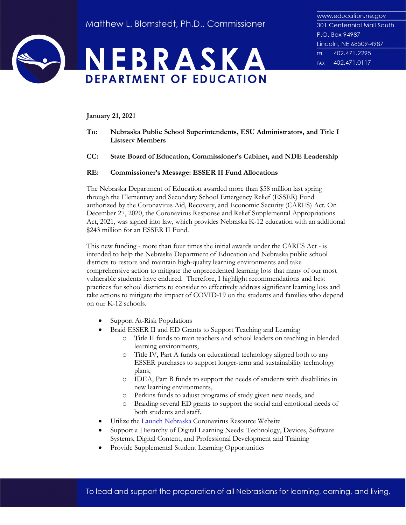



**January 21, 2021**

- **To: Nebraska Public School Superintendents, ESU Administrators, and Title I Listserv Members**
- **CC: State Board of Education, Commissioner's Cabinet, and NDE Leadership**

## **RE: Commissioner's Message: ESSER II Fund Allocations**

The Nebraska Department of Education awarded more than \$58 million last spring through the Elementary and Secondary School Emergency Relief (ESSER) Fund authorized by the Coronavirus Aid, Recovery, and Economic Security (CARES) Act. On December 27, 2020, the Coronavirus Response and Relief Supplemental Appropriations Act, 2021, was signed into law, which provides Nebraska K-12 education with an additional \$243 million for an ESSER II Fund.

This new funding - more than four times the initial awards under the CARES Act - is intended to help the Nebraska Department of Education and Nebraska public school districts to restore and maintain high-quality learning environments and take comprehensive action to mitigate the unprecedented learning loss that many of our most vulnerable students have endured. Therefore, I highlight recommendations and best practices for school districts to consider to effectively address significant learning loss and take actions to mitigate the impact of COVID-19 on the students and families who depend on our K-12 schools.

- Support At-Risk Populations
- Braid ESSER II and ED Grants to Support Teaching and Learning
	- o Title II funds to train teachers and school leaders on teaching in blended learning environments,
	- o Title IV, Part A funds on educational technology aligned both to any ESSER purchases to support longer-term and sustainability technology plans,
	- o IDEA, Part B funds to support the needs of students with disabilities in new learning environments,
	- o Perkins funds to adjust programs of study given new needs, and
	- o Braiding several ED grants to support the social and emotional needs of both students and staff.
- Utilize the [Launch Nebraska](https://www.launchne.com/) Coronavirus Resource Website
- Support a Hierarchy of Digital Learning Needs: Technology, Devices, Software Systems, Digital Content, and Professional Development and Training
- Provide Supplemental Student Learning Opportunities